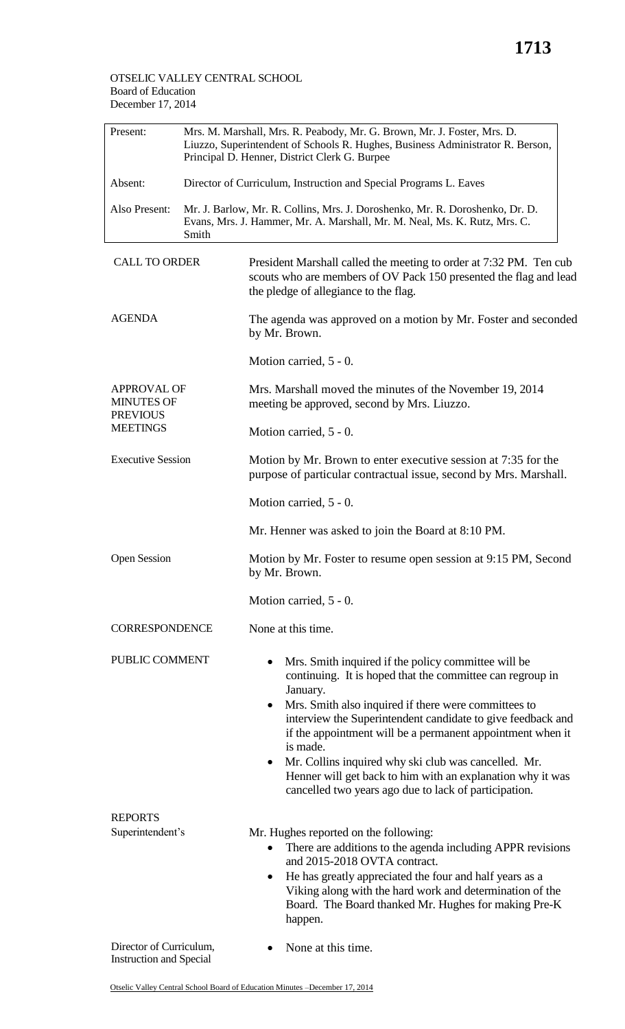## OTSELIC VALLEY CENTRAL SCHOOL Board of Education December 17, 2014

| Present:                                                   | Mrs. M. Marshall, Mrs. R. Peabody, Mr. G. Brown, Mr. J. Foster, Mrs. D.<br>Liuzzo, Superintendent of Schools R. Hughes, Business Administrator R. Berson,<br>Principal D. Henner, District Clerk G. Burpee |                                                                                                                                                                                                                                                                                                                                                                                                                                                                                                                                |  |
|------------------------------------------------------------|------------------------------------------------------------------------------------------------------------------------------------------------------------------------------------------------------------|--------------------------------------------------------------------------------------------------------------------------------------------------------------------------------------------------------------------------------------------------------------------------------------------------------------------------------------------------------------------------------------------------------------------------------------------------------------------------------------------------------------------------------|--|
| Absent:                                                    |                                                                                                                                                                                                            | Director of Curriculum, Instruction and Special Programs L. Eaves                                                                                                                                                                                                                                                                                                                                                                                                                                                              |  |
| Also Present:                                              | Smith                                                                                                                                                                                                      | Mr. J. Barlow, Mr. R. Collins, Mrs. J. Doroshenko, Mr. R. Doroshenko, Dr. D.<br>Evans, Mrs. J. Hammer, Mr. A. Marshall, Mr. M. Neal, Ms. K. Rutz, Mrs. C.                                                                                                                                                                                                                                                                                                                                                                      |  |
| <b>CALL TO ORDER</b>                                       |                                                                                                                                                                                                            | President Marshall called the meeting to order at 7:32 PM. Ten cub<br>scouts who are members of OV Pack 150 presented the flag and lead<br>the pledge of allegiance to the flag.                                                                                                                                                                                                                                                                                                                                               |  |
| <b>AGENDA</b>                                              |                                                                                                                                                                                                            | The agenda was approved on a motion by Mr. Foster and seconded<br>by Mr. Brown.                                                                                                                                                                                                                                                                                                                                                                                                                                                |  |
|                                                            |                                                                                                                                                                                                            | Motion carried, 5 - 0.                                                                                                                                                                                                                                                                                                                                                                                                                                                                                                         |  |
| <b>APPROVAL OF</b><br><b>MINUTES OF</b><br><b>PREVIOUS</b> |                                                                                                                                                                                                            | Mrs. Marshall moved the minutes of the November 19, 2014<br>meeting be approved, second by Mrs. Liuzzo.                                                                                                                                                                                                                                                                                                                                                                                                                        |  |
| <b>MEETINGS</b>                                            |                                                                                                                                                                                                            | Motion carried, 5 - 0.                                                                                                                                                                                                                                                                                                                                                                                                                                                                                                         |  |
| <b>Executive Session</b>                                   |                                                                                                                                                                                                            | Motion by Mr. Brown to enter executive session at 7:35 for the<br>purpose of particular contractual issue, second by Mrs. Marshall.                                                                                                                                                                                                                                                                                                                                                                                            |  |
|                                                            |                                                                                                                                                                                                            | Motion carried, 5 - 0.                                                                                                                                                                                                                                                                                                                                                                                                                                                                                                         |  |
|                                                            |                                                                                                                                                                                                            | Mr. Henner was asked to join the Board at 8:10 PM.                                                                                                                                                                                                                                                                                                                                                                                                                                                                             |  |
| <b>Open Session</b>                                        |                                                                                                                                                                                                            | Motion by Mr. Foster to resume open session at 9:15 PM, Second<br>by Mr. Brown.                                                                                                                                                                                                                                                                                                                                                                                                                                                |  |
|                                                            |                                                                                                                                                                                                            | Motion carried, 5 - 0.                                                                                                                                                                                                                                                                                                                                                                                                                                                                                                         |  |
| <b>CORRESPONDENCE</b>                                      |                                                                                                                                                                                                            | None at this time.                                                                                                                                                                                                                                                                                                                                                                                                                                                                                                             |  |
| PUBLIC COMMENT                                             |                                                                                                                                                                                                            | Mrs. Smith inquired if the policy committee will be<br>continuing. It is hoped that the committee can regroup in<br>January.<br>Mrs. Smith also inquired if there were committees to<br>٠<br>interview the Superintendent candidate to give feedback and<br>if the appointment will be a permanent appointment when it<br>is made.<br>Mr. Collins inquired why ski club was cancelled. Mr.<br>$\bullet$<br>Henner will get back to him with an explanation why it was<br>cancelled two years ago due to lack of participation. |  |
| <b>REPORTS</b>                                             |                                                                                                                                                                                                            |                                                                                                                                                                                                                                                                                                                                                                                                                                                                                                                                |  |
| Superintendent's                                           |                                                                                                                                                                                                            | Mr. Hughes reported on the following:<br>There are additions to the agenda including APPR revisions<br>$\bullet$<br>and 2015-2018 OVTA contract.<br>He has greatly appreciated the four and half years as a<br>$\bullet$<br>Viking along with the hard work and determination of the<br>Board. The Board thanked Mr. Hughes for making Pre-K<br>happen.                                                                                                                                                                        |  |
| Director of Curriculum,<br><b>Instruction and Special</b>  |                                                                                                                                                                                                            | None at this time.                                                                                                                                                                                                                                                                                                                                                                                                                                                                                                             |  |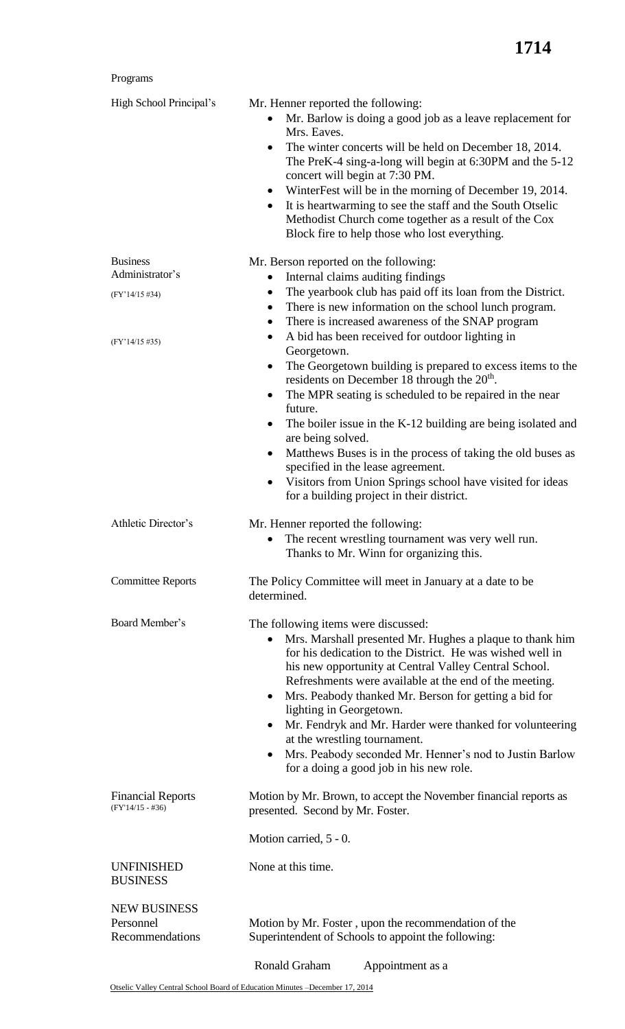## Programs

| High School Principal's                             | Mr. Henner reported the following:                                                                                                                                                                                                                                                                                                                                                                                                                                                                                                                                                                                        |
|-----------------------------------------------------|---------------------------------------------------------------------------------------------------------------------------------------------------------------------------------------------------------------------------------------------------------------------------------------------------------------------------------------------------------------------------------------------------------------------------------------------------------------------------------------------------------------------------------------------------------------------------------------------------------------------------|
|                                                     | Mr. Barlow is doing a good job as a leave replacement for<br>$\bullet$<br>Mrs. Eaves.                                                                                                                                                                                                                                                                                                                                                                                                                                                                                                                                     |
|                                                     | The winter concerts will be held on December 18, 2014.<br>$\bullet$<br>The PreK-4 sing-a-long will begin at 6:30PM and the 5-12<br>concert will begin at 7:30 PM.                                                                                                                                                                                                                                                                                                                                                                                                                                                         |
|                                                     | WinterFest will be in the morning of December 19, 2014.<br>$\bullet$<br>It is heartwarming to see the staff and the South Otselic<br>$\bullet$<br>Methodist Church come together as a result of the Cox<br>Block fire to help those who lost everything.                                                                                                                                                                                                                                                                                                                                                                  |
| <b>Business</b><br>Administrator's                  | Mr. Berson reported on the following:<br>Internal claims auditing findings<br>$\bullet$                                                                                                                                                                                                                                                                                                                                                                                                                                                                                                                                   |
| (FY'14/15 #34)                                      | The yearbook club has paid off its loan from the District.<br>$\bullet$<br>There is new information on the school lunch program.<br>$\bullet$                                                                                                                                                                                                                                                                                                                                                                                                                                                                             |
| $(FY'14/15\#35)$                                    | There is increased awareness of the SNAP program<br>$\bullet$<br>A bid has been received for outdoor lighting in<br>٠                                                                                                                                                                                                                                                                                                                                                                                                                                                                                                     |
|                                                     | Georgetown.<br>The Georgetown building is prepared to excess items to the<br>$\bullet$<br>residents on December 18 through the $20th$ .                                                                                                                                                                                                                                                                                                                                                                                                                                                                                   |
|                                                     | The MPR seating is scheduled to be repaired in the near<br>٠<br>future.<br>The boiler issue in the K-12 building are being isolated and<br>$\bullet$                                                                                                                                                                                                                                                                                                                                                                                                                                                                      |
|                                                     | are being solved.<br>Matthews Buses is in the process of taking the old buses as<br>٠<br>specified in the lease agreement.                                                                                                                                                                                                                                                                                                                                                                                                                                                                                                |
|                                                     | Visitors from Union Springs school have visited for ideas<br>for a building project in their district.                                                                                                                                                                                                                                                                                                                                                                                                                                                                                                                    |
| Athletic Director's                                 | Mr. Henner reported the following:<br>The recent wrestling tournament was very well run.<br>Thanks to Mr. Winn for organizing this.                                                                                                                                                                                                                                                                                                                                                                                                                                                                                       |
| <b>Committee Reports</b>                            | The Policy Committee will meet in January at a date to be<br>determined.                                                                                                                                                                                                                                                                                                                                                                                                                                                                                                                                                  |
| Board Member's                                      | The following items were discussed:<br>Mrs. Marshall presented Mr. Hughes a plaque to thank him<br>$\bullet$<br>for his dedication to the District. He was wished well in<br>his new opportunity at Central Valley Central School.<br>Refreshments were available at the end of the meeting.<br>Mrs. Peabody thanked Mr. Berson for getting a bid for<br>$\bullet$<br>lighting in Georgetown.<br>Mr. Fendryk and Mr. Harder were thanked for volunteering<br>$\bullet$<br>at the wrestling tournament.<br>Mrs. Peabody seconded Mr. Henner's nod to Justin Barlow<br>$\bullet$<br>for a doing a good job in his new role. |
| <b>Financial Reports</b><br>$(FY'14/15 - #36)$      | Motion by Mr. Brown, to accept the November financial reports as<br>presented. Second by Mr. Foster.                                                                                                                                                                                                                                                                                                                                                                                                                                                                                                                      |
|                                                     | Motion carried, 5 - 0.                                                                                                                                                                                                                                                                                                                                                                                                                                                                                                                                                                                                    |
| <b>UNFINISHED</b><br><b>BUSINESS</b>                | None at this time.                                                                                                                                                                                                                                                                                                                                                                                                                                                                                                                                                                                                        |
| <b>NEW BUSINESS</b><br>Personnel<br>Recommendations | Motion by Mr. Foster, upon the recommendation of the<br>Superintendent of Schools to appoint the following:                                                                                                                                                                                                                                                                                                                                                                                                                                                                                                               |
|                                                     | Ronald Graham<br>Appointment as a                                                                                                                                                                                                                                                                                                                                                                                                                                                                                                                                                                                         |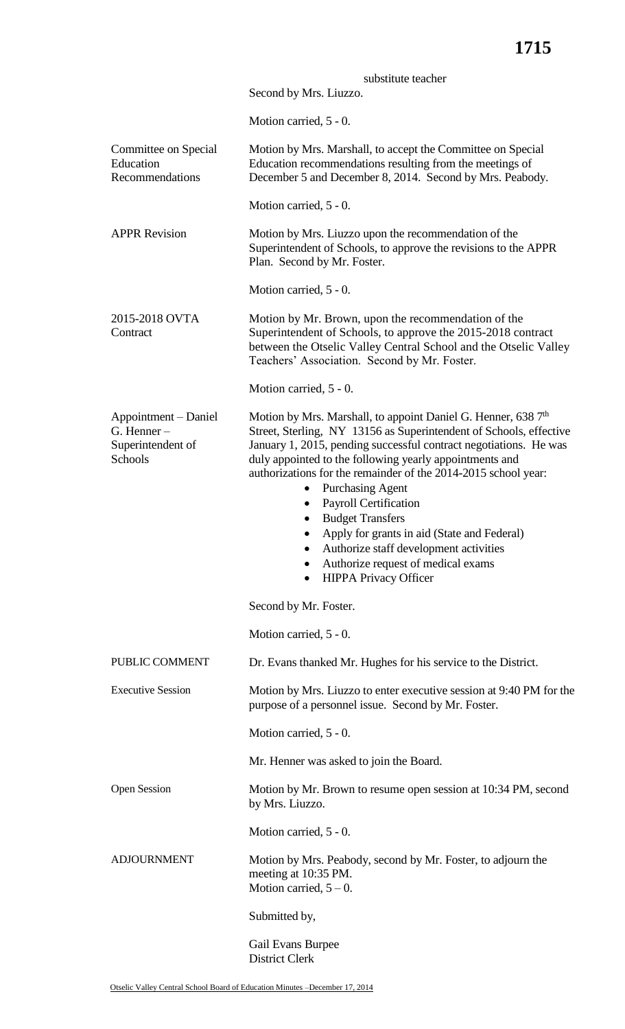|                                                                         | substitute teacher<br>Second by Mrs. Liuzzo.                                                                                                                                                                                                                                                                                                                                                                                                                                                                                                                                                                                   |
|-------------------------------------------------------------------------|--------------------------------------------------------------------------------------------------------------------------------------------------------------------------------------------------------------------------------------------------------------------------------------------------------------------------------------------------------------------------------------------------------------------------------------------------------------------------------------------------------------------------------------------------------------------------------------------------------------------------------|
|                                                                         | Motion carried, 5 - 0.                                                                                                                                                                                                                                                                                                                                                                                                                                                                                                                                                                                                         |
| Committee on Special<br>Education<br>Recommendations                    | Motion by Mrs. Marshall, to accept the Committee on Special<br>Education recommendations resulting from the meetings of<br>December 5 and December 8, 2014. Second by Mrs. Peabody.                                                                                                                                                                                                                                                                                                                                                                                                                                            |
|                                                                         | Motion carried, 5 - 0.                                                                                                                                                                                                                                                                                                                                                                                                                                                                                                                                                                                                         |
| <b>APPR Revision</b>                                                    | Motion by Mrs. Liuzzo upon the recommendation of the<br>Superintendent of Schools, to approve the revisions to the APPR<br>Plan. Second by Mr. Foster.                                                                                                                                                                                                                                                                                                                                                                                                                                                                         |
|                                                                         | Motion carried, 5 - 0.                                                                                                                                                                                                                                                                                                                                                                                                                                                                                                                                                                                                         |
| 2015-2018 OVTA<br>Contract                                              | Motion by Mr. Brown, upon the recommendation of the<br>Superintendent of Schools, to approve the 2015-2018 contract<br>between the Otselic Valley Central School and the Otselic Valley<br>Teachers' Association. Second by Mr. Foster.                                                                                                                                                                                                                                                                                                                                                                                        |
|                                                                         | Motion carried, 5 - 0.                                                                                                                                                                                                                                                                                                                                                                                                                                                                                                                                                                                                         |
| Appointment - Daniel<br>$G.$ Henner $-$<br>Superintendent of<br>Schools | Motion by Mrs. Marshall, to appoint Daniel G. Henner, 638 7 <sup>th</sup><br>Street, Sterling, NY 13156 as Superintendent of Schools, effective<br>January 1, 2015, pending successful contract negotiations. He was<br>duly appointed to the following yearly appointments and<br>authorizations for the remainder of the 2014-2015 school year:<br><b>Purchasing Agent</b><br>$\bullet$<br>Payroll Certification<br><b>Budget Transfers</b><br>$\bullet$<br>Apply for grants in aid (State and Federal)<br>٠<br>Authorize staff development activities<br>Authorize request of medical exams<br><b>HIPPA Privacy Officer</b> |
|                                                                         | Second by Mr. Foster.                                                                                                                                                                                                                                                                                                                                                                                                                                                                                                                                                                                                          |
|                                                                         | Motion carried, 5 - 0.                                                                                                                                                                                                                                                                                                                                                                                                                                                                                                                                                                                                         |
| PUBLIC COMMENT                                                          | Dr. Evans thanked Mr. Hughes for his service to the District.                                                                                                                                                                                                                                                                                                                                                                                                                                                                                                                                                                  |
| <b>Executive Session</b>                                                | Motion by Mrs. Liuzzo to enter executive session at 9:40 PM for the<br>purpose of a personnel issue. Second by Mr. Foster.                                                                                                                                                                                                                                                                                                                                                                                                                                                                                                     |
|                                                                         | Motion carried, 5 - 0.                                                                                                                                                                                                                                                                                                                                                                                                                                                                                                                                                                                                         |
|                                                                         | Mr. Henner was asked to join the Board.                                                                                                                                                                                                                                                                                                                                                                                                                                                                                                                                                                                        |
| Open Session                                                            | Motion by Mr. Brown to resume open session at 10:34 PM, second<br>by Mrs. Liuzzo.                                                                                                                                                                                                                                                                                                                                                                                                                                                                                                                                              |
|                                                                         | Motion carried, 5 - 0.                                                                                                                                                                                                                                                                                                                                                                                                                                                                                                                                                                                                         |
| <b>ADJOURNMENT</b>                                                      | Motion by Mrs. Peabody, second by Mr. Foster, to adjourn the<br>meeting at 10:35 PM.<br>Motion carried, $5 - 0$ .                                                                                                                                                                                                                                                                                                                                                                                                                                                                                                              |
|                                                                         | Submitted by,                                                                                                                                                                                                                                                                                                                                                                                                                                                                                                                                                                                                                  |
|                                                                         | Gail Evans Burpee                                                                                                                                                                                                                                                                                                                                                                                                                                                                                                                                                                                                              |

District Clerk